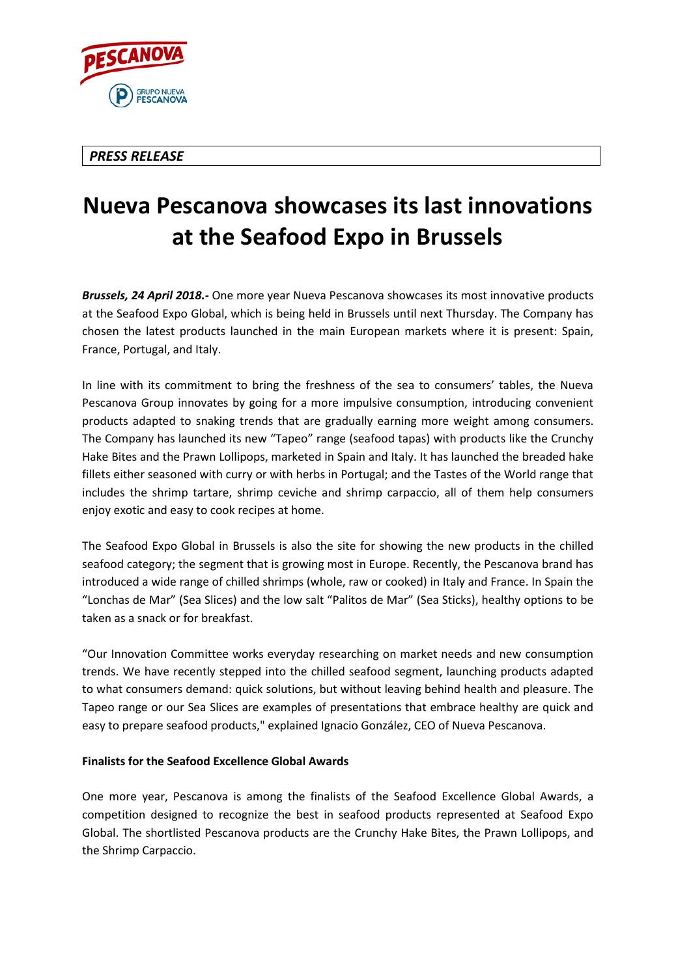

## *PRESS RELEASE*

## **Nueva Pescanova showcases its last innovations at the Seafood Expo in Brussels**

*Brussels, 24 April 2018.-* One more year Nueva Pescanova showcases its most innovative products at the Seafood Expo Global, which is being held in Brussels until next Thursday. The Company has chosen the latest products launched in the main European markets where it is present: Spain, France, Portugal, and Italy.

In line with its commitment to bring the freshness of the sea to consumers' tables, the Nueva Pescanova Group innovates by going for a more impulsive consumption, introducing convenient products adapted to snaking trends that are gradually earning more weight among consumers. The Company has launched its new "Tapeo" range (seafood tapas) with products like the Crunchy Hake Bites and the Prawn Lollipops, marketed in Spain and Italy. It has launched the breaded hake fillets either seasoned with curry or with herbs in Portugal; and the Tastes of the World range that includes the shrimp tartare, shrimp ceviche and shrimp carpaccio, all of them help consumers enjoy exotic and easy to cook recipes at home.

The Seafood Expo Global in Brussels is also the site for showing the new products in the chilled seafood category; the segment that is growing most in Europe. Recently, the Pescanova brand has introduced a wide range of chilled shrimps (whole, raw or cooked) in Italy and France. In Spain the "Lonchas de Mar" (Sea Slices) and the low salt "Palitos de Mar" (Sea Sticks), healthy options to be taken as a snack or for breakfast.

"Our Innovation Committee works everyday researching on market needs and new consumption trends. We have recently stepped into the chilled seafood segment, launching products adapted to what consumers demand: quick solutions, but without leaving behind health and pleasure. The Tapeo range or our Sea Slices are examples of presentations that embrace healthy are quick and easy to prepare seafood products," explained Ignacio González, CEO of Nueva Pescanova.

## **Finalists for the Seafood Excellence Global Awards**

One more year, Pescanova is among the finalists of the Seafood Excellence Global Awards, a competition designed to recognize the best in seafood products represented at Seafood Expo Global. The shortlisted Pescanova products are the Crunchy Hake Bites, the Prawn Lollipops, and the Shrimp Carpaccio.